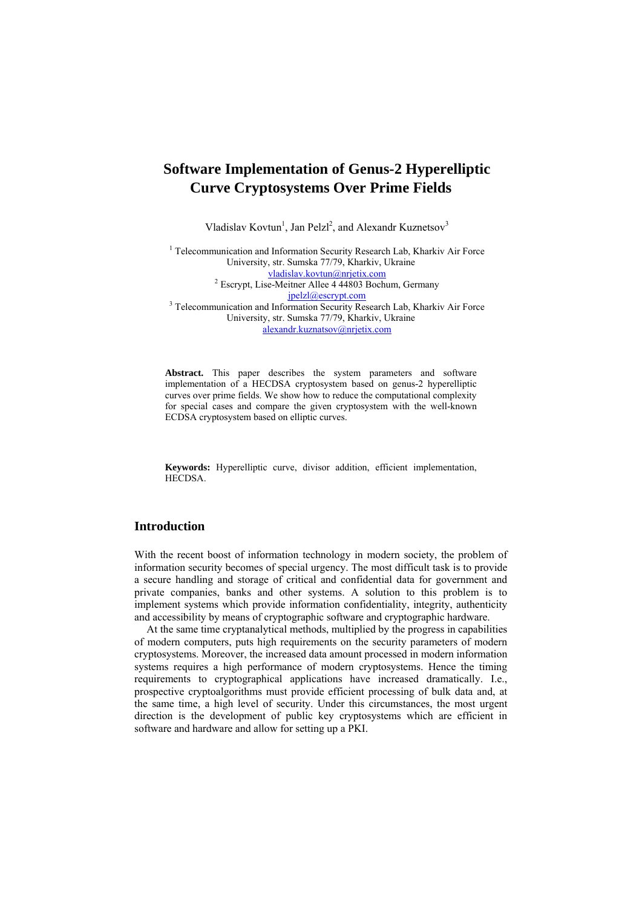Vladislav Kovtun<sup>1</sup>, Jan Pelzl<sup>2</sup>, and Alexandr Kuznetsov<sup>3</sup>

<sup>1</sup> Telecommunication and Information Security Research Lab, Kharkiv Air Force University, str. Sumska 77/79, Kharkiv, Ukraine vladislav.kovtun@nrjetix.com <sup>2</sup>  $2$  Escrypt, Lise-Meitner Allee 4 44803 Bochum, Germany

*ipelzl@escrypt.com*<br><sup>3</sup> Telecommunication and Information Security Research Lab, Kharkiv Air Force University, str. Sumska 77/79, Kharkiv, Ukraine [alexandr.kuznatsov@nrjetix.com](mailto:alexandr.kuznatsov@nrjetix.com)

**Abstract.** This paper describes the system parameters and software implementation of a HECDSA cryptosystem based on genus-2 hyperelliptic curves over prime fields. We show how to reduce the computational complexity for special cases and compare the given cryptosystem with the well-known ECDSA cryptosystem based on elliptic curves.

**Keywords:** Hyperelliptic curve, divisor addition, efficient implementation, HECDSA.

## **Introduction**

With the recent boost of information technology in modern society, the problem of information security becomes of special urgency. The most difficult task is to provide a secure handling and storage of critical and confidential data for government and private companies, banks and other systems. A solution to this problem is to implement systems which provide information confidentiality, integrity, authenticity and accessibility by means of cryptographic software and cryptographic hardware.

At the same time cryptanalytical methods, multiplied by the progress in capabilities of modern computers, puts high requirements on the security parameters of modern cryptosystems. Moreover, the increased data amount processed in modern information systems requires a high performance of modern cryptosystems. Hence the timing requirements to cryptographical applications have increased dramatically. I.e., prospective cryptoalgorithms must provide efficient processing of bulk data and, at the same time, a high level of security. Under this circumstances, the most urgent direction is the development of public key cryptosystems which are efficient in software and hardware and allow for setting up a PKI.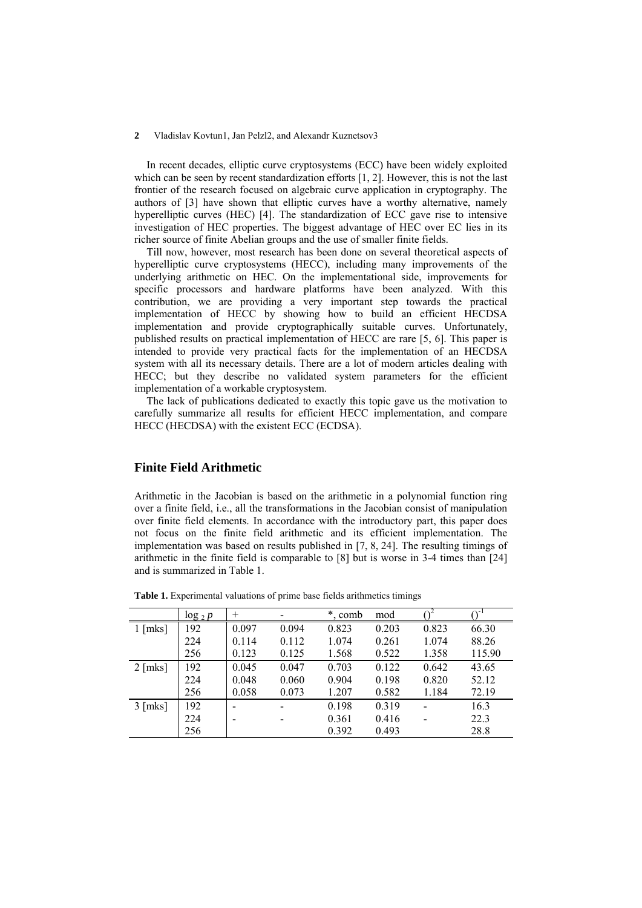In recent decades, elliptic curve cryptosystems (ECC) have been widely exploited which can be seen by recent standardization efforts [1, 2]. However, this is not the last frontier of the research focused on algebraic curve application in cryptography. The authors of [3] have shown that elliptic curves have a worthy alternative, namely hyperelliptic curves (HEC) [4]. The standardization of ECC gave rise to intensive investigation of HEC properties. The biggest advantage of HEC over EC lies in its richer source of finite Abelian groups and the use of smaller finite fields.

Till now, however, most research has been done on several theoretical aspects of hyperelliptic curve cryptosystems (HECC), including many improvements of the underlying arithmetic on HEC. On the implementational side, improvements for specific processors and hardware platforms have been analyzed. With this contribution, we are providing a very important step towards the practical implementation of HECC by showing how to build an efficient HECDSA implementation and provide cryptographically suitable curves. Unfortunately, published results on practical implementation of HECC are rare [5, 6]. This paper is intended to provide very practical facts for the implementation of an HECDSA system with all its necessary details. There are a lot of modern articles dealing with HECC; but they describe no validated system parameters for the efficient implementation of a workable cryptosystem.

The lack of publications dedicated to exactly this topic gave us the motivation to carefully summarize all results for efficient HECC implementation, and compare HECC (HECDSA) with the existent ECC (ECDSA).

## **Finite Field Arithmetic**

Arithmetic in the Jacobian is based on the arithmetic in a polynomial function ring over a finite field, i.e., all the transformations in the Jacobian consist of manipulation over finite field elements. In accordance with the introductory part, this paper does not focus on the finite field arithmetic and its efficient implementation. The implementation was based on results published in [7, 8, 24]. The resulting timings of arithmetic in the finite field is comparable to [8] but is worse in 3-4 times than [24] and is summarized in Table 1.

|           | $\log_2 p$ | $^{+}$ |       | $\ast$<br>s, comb | mod   |       | ∩-     |
|-----------|------------|--------|-------|-------------------|-------|-------|--------|
| $1$ [mks] | 192        | 0.097  | 0.094 | 0.823             | 0.203 | 0.823 | 66.30  |
|           | 224        | 0.114  | 0.112 | 1.074             | 0.261 | 1.074 | 88.26  |
|           | 256        | 0.123  | 0.125 | 1.568             | 0.522 | 1.358 | 115.90 |
| $2$ [mks] | 192        | 0.045  | 0.047 | 0.703             | 0.122 | 0.642 | 43.65  |
|           | 224        | 0.048  | 0.060 | 0.904             | 0.198 | 0.820 | 52.12  |
|           | 256        | 0.058  | 0.073 | 1.207             | 0.582 | 1.184 | 72.19  |
| $3$ [mks] | 192        |        |       | 0.198             | 0.319 |       | 16.3   |
|           | 224        |        |       | 0.361             | 0.416 |       | 22.3   |
|           | 256        |        |       | 0.392             | 0.493 |       | 28.8   |

**Table 1.** Experimental valuations of prime base fields arithmetics timings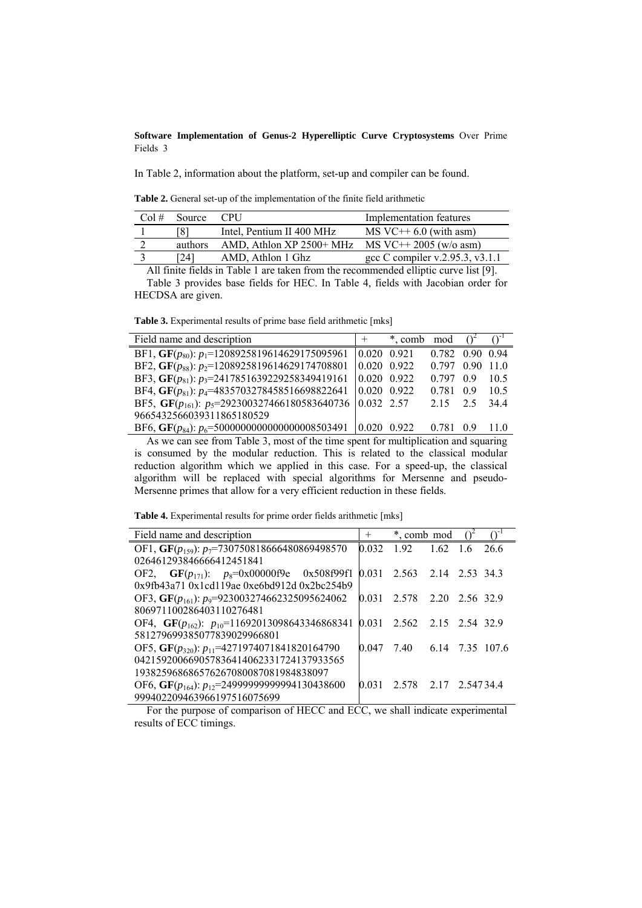In Table 2, information about the platform, set-up and compiler can be found.

**Table 2.** General set-up of the implementation of the finite field arithmetic

|         |                           | Implementation features         |
|---------|---------------------------|---------------------------------|
| ່ 8⊥    | Intel, Pentium II 400 MHz | $MS$ VC++ 6.0 (with asm)        |
| authors | AMD, Athlon XP 2500+ MHz  | $MS$ VC++ 2005 (w/o asm)        |
| 241     | AMD, Athlon 1 Ghz         | gcc C compiler v.2.95.3, v3.1.1 |
|         |                           |                                 |

All finite fields in Table 1 are taken from the recommended elliptic curve list [9]. Table 3 provides base fields for HEC. In Table 4, fields with Jacobian order for HECDSA are given.

**Table 3.** Experimental results of prime base field arithmetic [mks]

| Field name and description                                       |                     | + * comb mod |                 |    |      |
|------------------------------------------------------------------|---------------------|--------------|-----------------|----|------|
| BF1, GF( $p_{80}$ ): $p_1$ =1208925819614629175095961            | $0.020$ 0.921       |              | 0.782 0.90 0.94 |    |      |
| BF2, GF( $p_{88}$ ): $p_2$ =1208925819614629174708801            | $0.020 \quad 0.922$ |              | 0.797 0.90 11.0 |    |      |
| BF3, GF( $p_{81}$ ): $p_3$ =2417851639229258349419161            | $0.020$ 0.922       |              | 0.797           | 09 | 10.5 |
| BF4, GF( $p_{81}$ ): $p_4$ =4835703278458516698822641            | $0.020 \quad 0.922$ |              | 0.781 0.9       |    | 10.5 |
| BF5, GF( $p_{161}$ ): $p_5$ =292300327466180583640736 0.032 2.57 |                     |              | 2.15 2.5        |    | 344  |
| 9665432566039311865180529                                        |                     |              |                 |    |      |
| BF6, GF( $p_{84}$ ): $p_6$ =50000000000000000008503491           |                     | 10 020 0 922 | 0.781 0.9       |    | 110  |

As we can see from Table 3, most of the time spent for multiplication and squaring is consumed by the modular reduction. This is related to the classical modular reduction algorithm which we applied in this case. For a speed-up, the classical algorithm will be replaced with special algorithms for Mersenne and pseudo-Mersenne primes that allow for a very efficient reduction in these fields.

**Table 4.** Experimental results for prime order fields arithmetic [mks]

| Field name and description                              | $^{+}$ | *, comb mod                |     |      |
|---------------------------------------------------------|--------|----------------------------|-----|------|
| OF1, GF( $p_{159}$ ): $p_7$ =730750818666480869498570   | 0.032  | $192 \t162$                | 1.6 | 26.6 |
| 026461293846666412451841                                |        |                            |     |      |
| OF2, $GF(p_{171})$ : $p_8=0x00000f9e$ 0x508f99f1        |        | 0.031 2.563 2.14 2.53 34.3 |     |      |
| $0x9fb43a710x1cd19ae0xe6bd912d0x2bc254b9$               |        |                            |     |      |
| OF3, GF( $p_{161}$ ): $p_9$ =923003274662325095624062   | 0.031  | 2.578 2.20 2.56 32.9       |     |      |
| 806971100286403110276481                                |        |                            |     |      |
| OF4, GF( $p_{162}$ ): $p_{10}$ =11692013098643346868341 |        | 0.031 2.562 2.15 2.54 32.9 |     |      |
| 581279699385077839029966801                             |        |                            |     |      |
| OF5, GF( $p_{320}$ ): $p_{11}$ =4271974071841820164790  | 0 047  | 7.40 6.14 7.35 107.6       |     |      |
| 042159200669057836414062331724137933565                 |        |                            |     |      |
| 193825968686576267080087081984838097                    |        |                            |     |      |
| OF6, GF( $p_{164}$ ): $p_{12}$ =24999999999994130438600 | 0.031  | 2.578 2.17 2.54734.4       |     |      |
| 999402209463966197516075699                             |        |                            |     |      |

For the purpose of comparison of HECC and ECC, we shall indicate experimental results of ECC timings.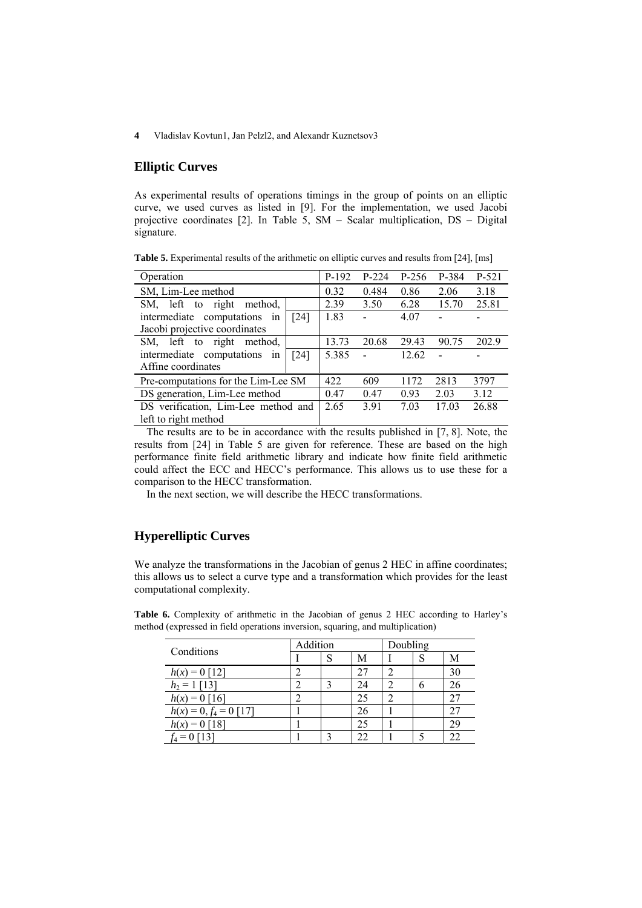## **Elliptic Curves**

As experimental results of operations timings in the group of points on an elliptic curve, we used curves as listed in [9]. For the implementation, we used Jacobi projective coordinates [2]. In Table 5, SM – Scalar multiplication, DS – Digital signature.

**Table 5.** Experimental results of the arithmetic on elliptic curves and results from [24], [ms]

| Operation                                 | $P-192$ | $P-224$ | $P-256$ | P-384 | P-521 |
|-------------------------------------------|---------|---------|---------|-------|-------|
| SM, Lim-Lee method                        | 0.32    | 0.484   | 0.86    | 2.06  | 3.18  |
| left to right<br>method.<br>SM,           | 2.39    | 3.50    | 6.28    | 15.70 | 25.81 |
| intermediate computations<br>$[24]$<br>in | 1.83    |         | 4.07    |       |       |
| Jacobi projective coordinates             |         |         |         |       |       |
| left to right<br>method.<br>SM.           | 13.73   | 20.68   | 29.43   | 90.75 | 202.9 |
| intermediate computations<br>$[24]$<br>in | 5.385   |         | 12.62   |       |       |
| Affine coordinates                        |         |         |         |       |       |
| Pre-computations for the Lim-Lee SM       | 422     | 609     | 1172    | 2813  | 3797  |
| DS generation, Lim-Lee method             | 0.47    | 0.47    | 0.93    | 2.03  | 3.12  |
| DS verification, Lim-Lee method and       | 2.65    | 3.91    | 7.03    | 17.03 | 26.88 |
| left to right method                      |         |         |         |       |       |

The results are to be in accordance with the results published in [7, 8]. Note, the results from [24] in Table 5 are given for reference. These are based on the high performance finite field arithmetic library and indicate how finite field arithmetic could affect the ECC and HECC's performance. This allows us to use these for a comparison to the HECC transformation.

In the next section, we will describe the HECC transformations.

## **Hyperelliptic Curves**

We analyze the transformations in the Jacobian of genus 2 HEC in affine coordinates; this allows us to select a curve type and a transformation which provides for the least computational complexity.

| Conditions               | Addition |  |    | Doubling |    |    |
|--------------------------|----------|--|----|----------|----|----|
|                          |          |  | M  |          | υI | M  |
| $= 0$ [12]<br>h(x)       |          |  | 27 |          |    | 30 |
| $h_2 =$<br>[13]          |          |  | 24 | ◠        | h  | 26 |
| $0$ [16]<br>$h(x) =$     |          |  | 25 | 2        |    | 27 |
| $h(x) = 0, f_4 = 0$ [17] |          |  | 26 |          |    |    |
| $h(x) = 0$ [18]          |          |  | 25 |          |    | 29 |
|                          |          |  | 22 |          |    | 22 |

Table 6. Complexity of arithmetic in the Jacobian of genus 2 HEC according to Harley's method (expressed in field operations inversion, squaring, and multiplication)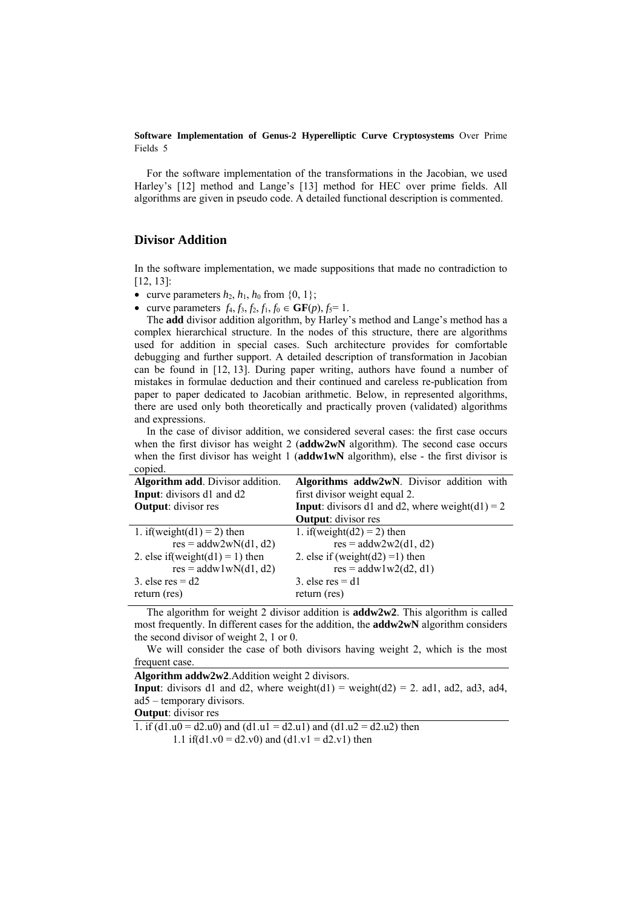For the software implementation of the transformations in the Jacobian, we used Harley's [12] method and Lange's [13] method for HEC over prime fields. All algorithms are given in pseudo code. A detailed functional description is commented.

#### **Divisor Addition**

In the software implementation, we made suppositions that made no contradiction to [12, 13]:

• curve parameters  $h_2$ ,  $h_1$ ,  $h_0$  from  $\{0, 1\}$ ;

• curve parameters  $f_4, f_3, f_2, f_1, f_0 \in \mathbf{GF}(p), f_5 = 1$ .

The **add** divisor addition algorithm, by Harley's method and Lange's method has a complex hierarchical structure. In the nodes of this structure, there are algorithms used for addition in special cases. Such architecture provides for comfortable debugging and further support. A detailed description of transformation in Jacobian can be found in [12, 13]. During paper writing, authors have found a number of mistakes in formulae deduction and their continued and careless re-publication from paper to paper dedicated to Jacobian arithmetic. Below, in represented algorithms, there are used only both theoretically and practically proven (validated) algorithms and expressions.

In the case of divisor addition, we considered several cases: the first case occurs when the first divisor has weight 2 (**addw2wN** algorithm). The second case occurs when the first divisor has weight 1 (**addw1wN** algorithm), else - the first divisor is copied.

| Algorithm add. Divisor addition. | Algorithms addw2wN. Divisor addition with              |
|----------------------------------|--------------------------------------------------------|
| Input: divisors d1 and d2        | first divisor weight equal 2.                          |
| <b>Output:</b> divisor res       | <b>Input:</b> divisors d1 and d2, where weight(d1) = 2 |
|                                  | <b>Output:</b> divisor res                             |
| 1. if (weight $(d1) = 2$ ) then  | 1. if (weight $(d2) = 2$ ) then                        |
| $res = addw2wN(d1, d2)$          | $res = addw2w2(d1, d2)$                                |
| 2. else if(weight(d1) = 1) then  | 2. else if (weight( $d2$ ) = 1) then                   |
| $res = addw1wN(d1, d2)$          | $res = addw1w2(d2, d1)$                                |
| 3. else res = $d2$               | 3. else res $=$ d1                                     |
| return (res)                     | return (res)                                           |

The algorithm for weight 2 divisor addition is **addw2w2**. This algorithm is called most frequently. In different cases for the addition, the **addw2wN** algorithm considers the second divisor of weight 2, 1 or 0.

We will consider the case of both divisors having weight 2, which is the most frequent case.

**Algorithm addw2w2**.Addition weight 2 divisors.

**Input**: divisors d1 and d2, where weight(d1) = weight(d2) = 2. ad1, ad2, ad3, ad4, ad5 – temporary divisors.

**Output**: divisor res

1. if  $(d1.u0 = d2.u0)$  and  $(d1.u1 = d2.u1)$  and  $(d1.u2 = d2.u2)$  then

1.1 if(d1.v0 = d2.v0) and (d1.v1 = d2.v1) then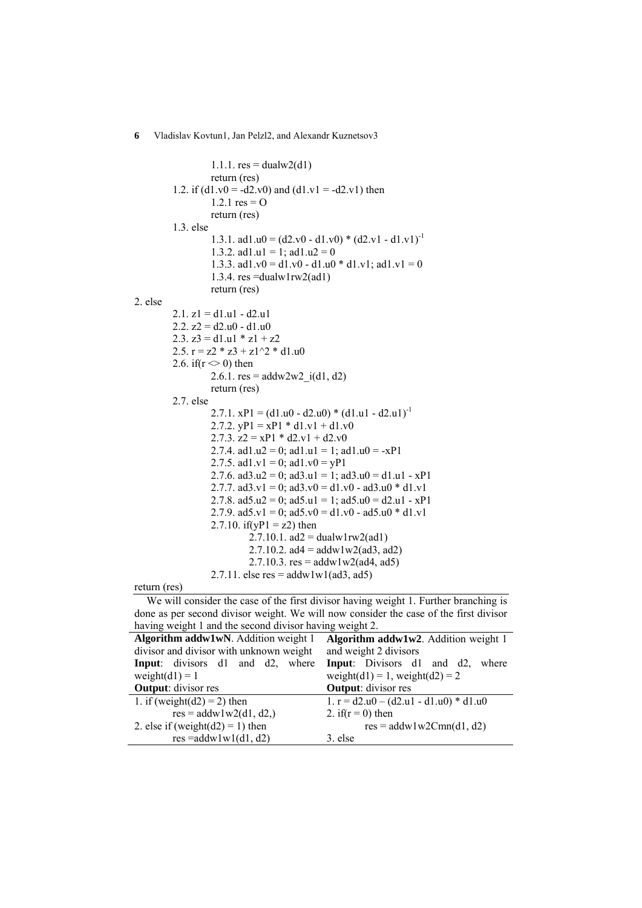1.1.1.  $res = dualw2(d1)$  return (res) 1.2. if  $(d1.v0 = -d2.v0)$  and  $(d1.v1 = -d2.v1)$  then 1.2.1  $res = O$  return (res) 1.3. else 1.3.1. ad1.u0 =  $(d2.v0 - d1.v0) * (d2.v1 - d1.v1)^{-1}$ 1.3.2. ad1.u1 = 1; ad1.u2 = 0 1.3.3. ad1.v0 = d1.v0 - d1.u0 \* d1.v1; ad1.v1 = 0 1.3.4. res =dualw1rw2(ad1) return (res) 2. else  $2.1. z1 = d1.u1 - d2.u1$ 2.2.  $z^2 = d^2u^0 - d^2u^0$ 2.3.  $z3 = d1.u1 * z1 + z2$ 2.5.  $r = z2 * z3 + z1^2 * d1.u0$ 2.6. if( $r \le 0$ ) then 2.6.1.  $res = addw2w2$   $i(d1, d2)$  return (res) 2.7. else 2.7.1.  $xPI = (d1.u0 - d2.u0) * (d1.u1 - d2.u1)^{-1}$ 2.7.2.  $yP1 = xP1 * d1.v1 + d1.v0$ 2.7.3.  $z2 = xP1 * d2.v1 + d2.v0$ 2.7.4. ad1.u2 = 0; ad1.u1 = 1; ad1.u0 = -xP1 2.7.5. ad1.v1 = 0; ad1.v0 = yP1 2.7.6. ad3.u2 = 0; ad3.u1 = 1; ad3.u0 = d1.u1 - xP1 2.7.7. ad $3.v1 = 0$ ; ad $3.v0 = d1.v0 - ad3.u0 * d1.v1$ 2.7.8. ad5.u2 = 0; ad5.u1 = 1; ad5.u0 = d2.u1 - xP1 2.7.9. ad5.v1 = 0; ad5.v0 = d1.v0 - ad5.u0  $*$  d1.v1 2.7.10. if( $yP1 = z2$ ) then  $2.7.10.1.$  ad $2 =$  dualw1rw2(ad1) 2.7.10.2.  $ad4 = addw1w2(ad3, ad2)$ 2.7.10.3.  $res = addw1w2(ad4, ad5)$ 2.7.11. else res =  $addw1w1(ad3, ad5)$ 

return (res)

We will consider the case of the first divisor having weight 1. Further branching is done as per second divisor weight. We will now consider the case of the first divisor having weight 1 and the second divisor having weight 2.

| Algorithm addw1wN. Addition weight 1     | Algorithm addw1w2. Addition weight 1     |  |  |  |
|------------------------------------------|------------------------------------------|--|--|--|
| divisor and divisor with unknown weight  | and weight 2 divisors                    |  |  |  |
| <b>Input</b> : divisors d1 and d2, where | Input: Divisors d1 and d2,<br>where      |  |  |  |
| weight $(d1) = 1$                        | weight(d1) = 1, weight(d2) = 2           |  |  |  |
| <b>Output:</b> divisor res               | <b>Output:</b> divisor res               |  |  |  |
| 1. if (weight( $d2$ ) = 2) then          | 1. $r = d2.u0 - (d2.u1 - d1.u0) * d1.u0$ |  |  |  |
| $res = addw1w2(d1, d2)$                  | 2. if $(r = 0)$ then                     |  |  |  |
| 2. else if (weight( $d2$ ) = 1) then     | $res = addw1w2Cmn(d1, d2)$               |  |  |  |
| $res = addw1w1(d1, d2)$                  | 3. else                                  |  |  |  |

**6** Vladislav Kovtun1, Jan Pelzl2, and Alexandr Kuznetsov3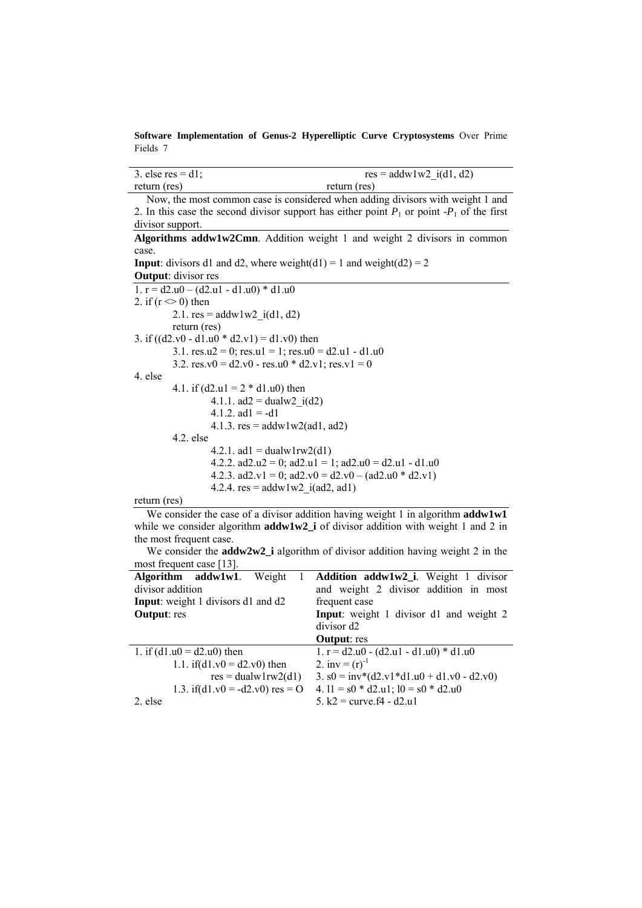| 3. else res = $d1$ : | $res = addw1w2$ i(d1, d2) |
|----------------------|---------------------------|
| return (res)         | return (res)              |

Now, the most common case is considered when adding divisors with weight 1 and 2. In this case the second divisor support has either point  $P_1$  or point  $-P_1$  of the first divisor support. **Algorithms addw1w2Cmn**. Addition weight 1 and weight 2 divisors in common

case. **Input**: divisors d1 and d2, where weight(d1) = 1 and weight(d2) = 2 **Output**: divisor res 1.  $r = d2.u0 - (d2.u1 - d1.u0) * d1.u0$ 2. if  $(r \leq 0)$  then 2.1.  $res = addw1w2_i(d1, d2)$  return (res) 3. if  $((d2.v0 - d1.u0 * d2.v1) = d1.v0)$  then 3.1.  $res.u2 = 0$ ;  $res.u1 = 1$ ;  $res.u0 = d2.u1 - d1.u0$ 3.2.  $res.v0 = d2.v0 - res.u0 * d2.v1$ ;  $res.v1 = 0$ 4. else 4.1. if  $(d2.u1 = 2 * d1.u0)$  then 4.1.1.  $ad2 = dualw2$   $i(d2)$ 4.1.2.  $ad1 = -d1$ 4.1.3.  $res = addw1w2(ad1, ad2)$  4.2. else 4.2.1. ad1 = dualw1rw2(d1) 4.2.2.  $ad2.u2 = 0$ ;  $ad2.u1 = 1$ ;  $ad2.u0 = d2.u1 - d1.u0$ 4.2.3.  $ad2.v1 = 0$ ;  $ad2.v0 = d2.v0 - (ad2.u0 * d2.v1)$ 4.2.4.  $res = addw1w2$   $i(ad2, ad1)$ 

return (res)

We consider the case of a divisor addition having weight 1 in algorithm **addw1w1** while we consider algorithm **addw1w2** i of divisor addition with weight 1 and 2 in the most frequent case.

|                             | We consider the <b>addw2w2_i</b> algorithm of divisor addition having weight 2 in the |  |  |
|-----------------------------|---------------------------------------------------------------------------------------|--|--|
| most frequent case $[13]$ . |                                                                                       |  |  |

| Algorithm addw1w1. Weight                 | Addition addw1w2_i. Weight 1 divisor           |
|-------------------------------------------|------------------------------------------------|
| divisor addition                          | and weight 2 divisor addition in most          |
| <b>Input:</b> weight 1 divisors d1 and d2 | frequent case                                  |
| <b>Output:</b> res                        | <b>Input:</b> weight 1 divisor d1 and weight 2 |
|                                           | divisor d <sub>2</sub>                         |
|                                           | <b>Output</b> : res                            |
| 1. if $(d1.u0 = d2.u0)$ then              | 1. $r = d2.u0 - (d2.u1 - d1.u0) * d1.u0$       |
| 1.1. if( $d1.v0 = d2.v0$ ) then           | 2. inv = $(r)^{-1}$                            |
| $res = dualw1rw2(d1)$                     | 3. $s0 = inv*(d2.v1*d1.u0 + d1.v0 - d2.v0)$    |
| 1.3. if(d1.v0 = -d2.v0) res = O           | 4. $11 = s0 * d2.u1$ ; $10 = s0 * d2.u0$       |
| 2. else                                   | 5. $k2$ = curve. $f4 - d2. u1$                 |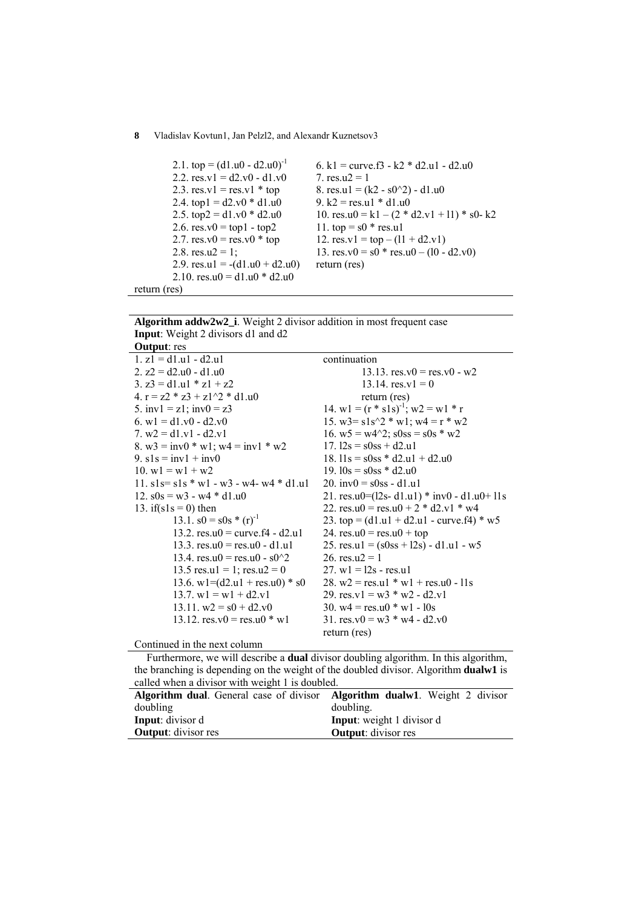```
2.1. top = (d1.u0 - d2.u0)^{-1}2.2. res.v1 = d2.v0 - d1.v02.3. res.v1 = res.v1 * top2.4. top1 = d2.v0 * d1.u02.5. top2 = d1.v0 * d2.u02.6. res.v0 = top1 - top22.7. res.v0 = res.v0 * top2.8. res.u2 = 1;
         2.9. res.u1 = -(d1.u0 + d2.u0)2.10. res.u0 = d1.u0 * d2.u0return (res) 
                                          6. k1 = curve.f3 - k2 * d2.u1 - d2.u0
                                          7. res.u2 = 18. res.u1 = (k2 - s0^2) - d1.u09. k2 = res.u1 * d1.u0
                                           10. res.u0 = k1 – (2 * d2.v1 + 11) * s0 - k211. top = s0 * res.u112. res.v1 = top – (11 + d2.v1)13. res.v0 = s0 * res.u0 - (10 - d2.v0)return (res)
```
**Algorithm addw2w2\_i**. Weight 2 divisor addition in most frequent case **Input**: Weight 2 divisors d1 and d2 **Output**: res

| <b>Output.</b> Its                          |                                                |
|---------------------------------------------|------------------------------------------------|
| $1. z1 = d1.u1 - d2.u1$                     | continuation                                   |
| 2. $z^2 = d^2u^0 - d^2u^0$                  | 13.13. $res_v 0 = res_v 0 - w2$                |
| 3. $z3 = d1.u1 * z1 + z2$                   | 13.14. $res.v1 = 0$                            |
| 4. $r = z2 * z3 + z1^{2} * d1.u0$           | return (res)                                   |
| 5. $inv1 = z1$ ; $inv0 = z3$                | 14. $w1 = (r * s1s)^{-1}$ ; $w2 = w1 * r$      |
| 6. $w1 = d1.v0 - d2.v0$                     | 15. $w3 = s1s^2 * w1$ ; $w4 = r * w2$          |
| 7. $w2 = d1.v1 - d2.v1$                     | 16. $w5 = w4^2$ ; $s0ss = s0s * w2$            |
| 8. $w3 = inv0 * w1$ ; $w4 = inv1 * w2$      | $17.12s = s0ss + d2.u1$                        |
| 9. $s1s = inv1 + inv0$                      | 18. $11s = s0ss * d2.u1 + d2.u0$               |
| 10. $w1 = w1 + w2$                          | 19. $10s = s0ss * d2.u0$                       |
| 11. $sls = sls * w1 - w3 - w4 - w4 * d1.u1$ | 20. inv $0 = s$ 0ss - d1.u1                    |
| 12. $s0s = w3 - w4 * d1.u0$                 | 21. res.u0= $(12s- d1.u1)$ * inv0 - d1.u0+ l1s |
| 13. if( $s1s = 0$ ) then                    | 22. res.u0 = res.u0 + 2 $*$ d2.v1 $*$ w4       |
| 13.1. $s0 = s0s * (r)^{-1}$                 | 23. top = $(d1.u1 + d2.u1 - curve.f4) * w5$    |
| 13.2. $res.u0 = curve.f4 - d2.u1$           | 24. $res.u0 = res.u0 + top$                    |
| 13.3. $res.u0 = res.u0 - d1.u1$             | 25. res.ul = $(s0ss + 12s) - d1.u1 - w5$       |
| 13.4. $res.u0 = res.u0 - s0^{2}$            | 26. res.u2 = 1                                 |
| 13.5 res.u1 = 1; res.u2 = 0                 | $27. w1 = 12s - res.u1$                        |
| 13.6. $w1 = (d2.u1 + res.u0) * s0$          | 28. $w2 = res.u1 * w1 + res.u0 - 11s$          |
| 13.7. $w1 = w1 + d2.v1$                     | 29. res.v1 = $w3 * w2 - d2.v1$                 |
| 13.11. $w2 = s0 + d2.v0$                    | 30. $w4 = res.u0 * w1 - 10s$                   |
| 13.12. $res.v0 = res.u0 * w1$               | 31. res. $v0 = w3 * w4 - d2. v0$               |
|                                             | return (res)                                   |
| Continued in the next column                |                                                |

Furthermore, we will describe a **dual** divisor doubling algorithm. In this algorithm, the branching is depending on the weight of the doubled divisor. Algorithm **dualw1** is called when a divisor with weight 1 is doubled.

| <b>Algorithm dual.</b> General case of divisor <b>Algorithm dualw1</b> . Weight 2 divisor |                                   |
|-------------------------------------------------------------------------------------------|-----------------------------------|
| doubling                                                                                  | doubling.                         |
| <b>Input</b> : divisor d                                                                  | <b>Input</b> : weight 1 divisor d |
| <b>Output:</b> divisor res                                                                | <b>Output:</b> divisor res        |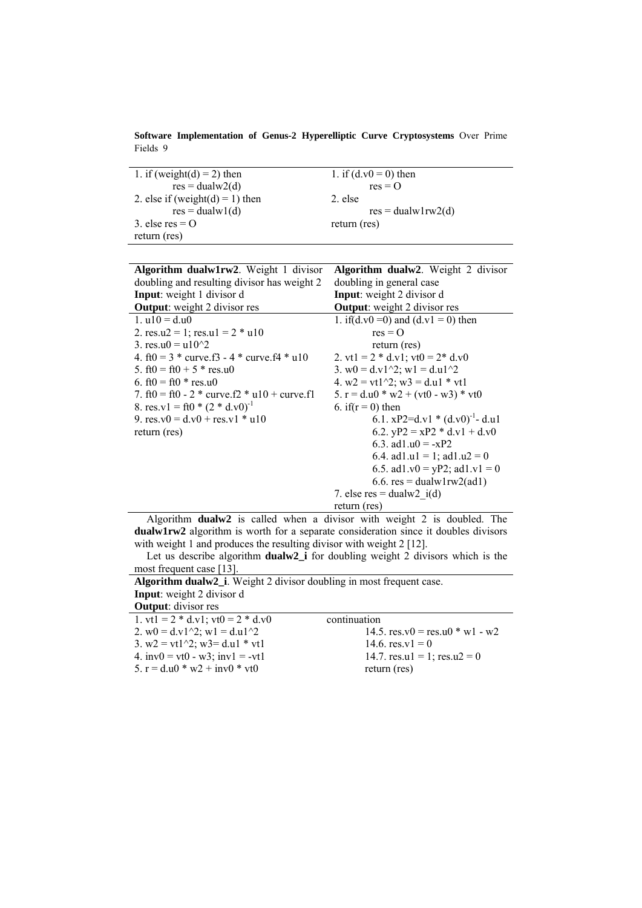**Software Implementation of Genus-2 Hyperelliptic Curve Cryptosystems** Over Prime Fields 9

| 1. if (weight(d) = 2) then      | 1. if $(d.v0 = 0)$ then |
|---------------------------------|-------------------------|
| $res = dualw2(d)$               | $res = 0$               |
| 2. else if (weight(d) = 1) then | 2. else                 |
| $res = dualw1(d)$               | $res = dualw1rw2(d)$    |
| 3. else res $=$ O               | return (res)            |
| return (res)                    |                         |

| Algorithm dualw1rw2. Weight 1 divisor            | <b>Algorithm dualw2</b> . Weight 2 divisor |  |  |  |  |
|--------------------------------------------------|--------------------------------------------|--|--|--|--|
| doubling and resulting divisor has weight 2      | doubling in general case                   |  |  |  |  |
| <b>Input:</b> weight 1 divisor d                 | <b>Input:</b> weight 2 divisor d           |  |  |  |  |
| <b>Output:</b> weight 2 divisor res              | <b>Output:</b> weight 2 divisor res        |  |  |  |  |
| 1. $u10 = d.u0$                                  | 1. if(d.v0 = 0) and (d.v1 = 0) then        |  |  |  |  |
| 2. res.u2 = 1; res.u1 = $2 * u10$                | $res = 0$                                  |  |  |  |  |
| 3. res.u0 = $u10^{2}$                            | return (res)                               |  |  |  |  |
| 4. ft0 = $3 *$ curve.f3 - $4 *$ curve.f4 $*$ u10 | 2. vt1 = $2 * d.v1$ ; vt0 = $2 * d.v0$     |  |  |  |  |
| 5. $ft0 = ft0 + 5 * res.u0$                      | 3. w0 = $d.v1^2$ ; w1 = $d.u1^2$           |  |  |  |  |
| 6. $ft0 = ft0 * res.u0$                          | 4. $w2 = vt1^2$ ; $w3 = d.u1 * vt1$        |  |  |  |  |
| 7. ft0 = ft0 - 2 $*$ curve.f2 $*$ u10 + curve.f1 | 5. $r = d.u0 * w2 + (vt0 - w3) * vt0$      |  |  |  |  |
| 8. res.v1 = ft0 * $(2 * d.v0)^{-1}$              | 6. if $(r = 0)$ then                       |  |  |  |  |
| 9. res.v0 = $d$ .v0 + res.v1 * u10               | 6.1. $xP2=d.v1 * (d.v0)-1 - d.u1$          |  |  |  |  |
| return (res)                                     | 6.2. $yP2 = xP2 * d.v1 + d.v0$             |  |  |  |  |
|                                                  | 6.3. ad1.u0 = -xP2                         |  |  |  |  |
|                                                  | 6.4. ad1.u1 = 1; ad1.u2 = 0                |  |  |  |  |
|                                                  | 6.5. ad1.v0 = yP2; ad1.v1 = 0              |  |  |  |  |
|                                                  | $6.6$ . res = dualw1rw2(ad1)               |  |  |  |  |
|                                                  | 7. else res = dualw2 $i(d)$                |  |  |  |  |
|                                                  | return (res)                               |  |  |  |  |

Algorithm **dualw2** is called when a divisor with weight 2 is doubled. The **dualw1rw2** algorithm is worth for a separate consideration since it doubles divisors with weight 1 and produces the resulting divisor with weight 2 [12].

Let us describe algorithm **dualw2\_i** for doubling weight 2 divisors which is the most frequent case [13].

| <b>Algorithm dualw2_i</b> . Weight 2 divisor doubling in most frequent case. |                                         |  |  |  |  |  |  |
|------------------------------------------------------------------------------|-----------------------------------------|--|--|--|--|--|--|
| <b>Input:</b> weight 2 divisor d                                             |                                         |  |  |  |  |  |  |
| <b>Output:</b> divisor res                                                   |                                         |  |  |  |  |  |  |
| 1. vt1 = $2 * d.v1$ ; vt0 = $2 * d.v0$                                       | continuation                            |  |  |  |  |  |  |
| 2. $w0 = d.v1^2$ ; $w1 = d.u1^2$                                             | 14.5. $res_v(0) = res_u(0) * w_1 - w_2$ |  |  |  |  |  |  |
| 3. $w2 = vt1^2$ ; $w3 = d.u1 * vt1$                                          | 14.6. $res_v1 = 0$                      |  |  |  |  |  |  |
| 4. $inv0 = vt0 - w3$ ; $inv1 = -vt1$                                         | 14.7. res.u1 = 1; res.u2 = 0            |  |  |  |  |  |  |
| 5. $r = d.u0 * w2 + inv0 * vt0$                                              | return (res)                            |  |  |  |  |  |  |
|                                                                              |                                         |  |  |  |  |  |  |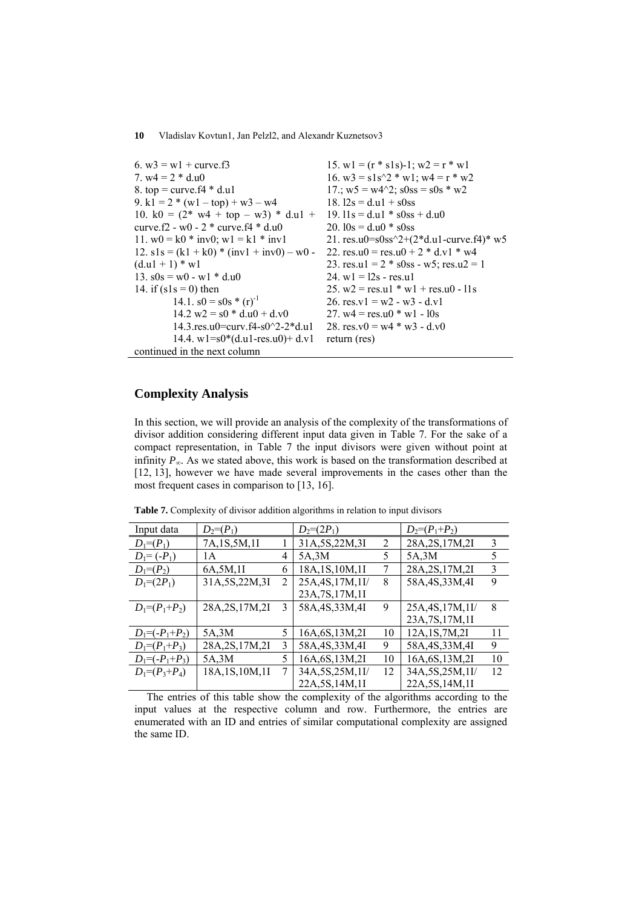```
6. w3 = w1 + curve.f37. w4 = 2 * d.u08. top = curve.f4 * d.u19. k1 = 2 * (w1 - top) + w3 - w410. k0 = (2^* \text{ w4} + \text{top} - \text{w3}) * d \text{u1} +curve.f2 - w0 - 2 * curve.f4 * d.u0 
11. w0 = k0 * inv0; w1 = k1 * inv112. s1s = (k1 + k0) * (inv1 + inv0) - w0(d.u1 + 1) * w113. s0s = w0 - w1 * d.u014. if (s1s = 0) then
         14.1. s0 = s0s * (r)^{-1}14.2 \text{ w2} = \text{s0} * \text{d.u0} + \text{d.v0} 14.3.res.u0=curv.f4-s0^2-2*d.u1 
         14.4. w1 = s0*(d.u1-res.u0) + d.v1continued in the next column 
                                               15. w1 = (r * s1s)-1; w2 = r * w116. w3 = s1s^2 * w1; w4 = r * w2
                                               17.; w5 = w4^2; s0ss = s0s * w218. 12s = d.u1 + s0ss19. 11s = d.u1 * s0ss + d.u020. 10s = d.u0 * s0ss21. res.u0=s0ss^{2}+(2*d.u1-curve.f4)* w5
                                              22. res.u0 = res.u0 + 2 * d.v1 * w4
                                               23. res.u1 = 2 * s0ss - w5; res.u2 = 1
                                               24. w1 = 12s - res.u125. w2 = res.u1 * w1 + res.u0 - 11s
                                               26. res.v1 = w2 - w3 - d.v127. w4 = res.u0 * w1 - 10s28. res.v0 = w4 * w3 - d.v0return (res)
```
### **Complexity Analysis**

In this section, we will provide an analysis of the complexity of the transformations of divisor addition considering different input data given in Table 7. For the sake of a compact representation, in Table 7 the input divisors were given without point at infinity  $P_{\infty}$ . As we stated above, this work is based on the transformation described at [12, 13], however we have made several improvements in the cases other than the most frequent cases in comparison to [13, 16].

| Input data           | $D_2=(P_1)$      |   | $D_2=(2P_1)$      |                | $D_2=(P_1+P_2)$   |    |
|----------------------|------------------|---|-------------------|----------------|-------------------|----|
| $D_1=(P_1)$          | 7A, 1S, 5M, 1I   |   | 31A, 5S, 22M, 3I  | $\overline{2}$ | 28A, 2S, 17M, 2I  | 3  |
| $D_1 = (-P_1)$       | 1 A              | 4 | 5A, 3M            | 5              | 5A,3M             | 5  |
| $D_1=(P_2)$          | 6A,5M,1I         | 6 | 18A, 1S, 10M, 1I  | 7              | 28A, 2S, 17M, 2I  | 3  |
| $D_1=(2P_1)$         | 31A, 5S, 22M, 3I | 2 | 25A, 4S, 17M, 1I/ | 8              | 58A, 4S, 33M, 4I  | 9  |
|                      |                  |   | 23A, 7S, 17M, 1I  |                |                   |    |
| $D_1 = (P_1 + P_2)$  | 28A, 2S, 17M, 2I | 3 | 58A, 4S, 33M, 4I  | 9              | 25A, 4S, 17M, 1I/ | 8  |
|                      |                  |   |                   |                | 23A, 7S, 17M, 1I  |    |
| $D_1 = (-P_1 + P_2)$ | 5A, 3M           | 5 | 16A, 6S, 13M, 2I  | 10             | 12A, 1S, 7M, 2I   | 11 |
| $D_1=(P_1+P_3)$      | 28A, 2S, 17M, 2I | 3 | 58A, 4S, 33M, 4I  | 9              | 58A, 4S, 33M, 4I  | 9  |
| $D_1 = (-P_1 + P_3)$ | 5A, 3M           | 5 | 16A, 6S, 13M, 2I  | 10             | 16A, 6S, 13M, 2I  | 10 |
| $D_1 = (P_3 + P_4)$  | 18A, 1S, 10M, 1I | 7 | 34A, 5S, 25M, 1I/ | 12             | 34A, 5S, 25M, 1I/ | 12 |
|                      |                  |   | 22A, 5S, 14M, 1I  |                | 22A, 5S, 14M, 1I  |    |

**Table 7.** Complexity of divisor addition algorithms in relation to input divisors

The entries of this table show the complexity of the algorithms according to the input values at the respective column and row. Furthermore, the entries are enumerated with an ID and entries of similar computational complexity are assigned the same ID.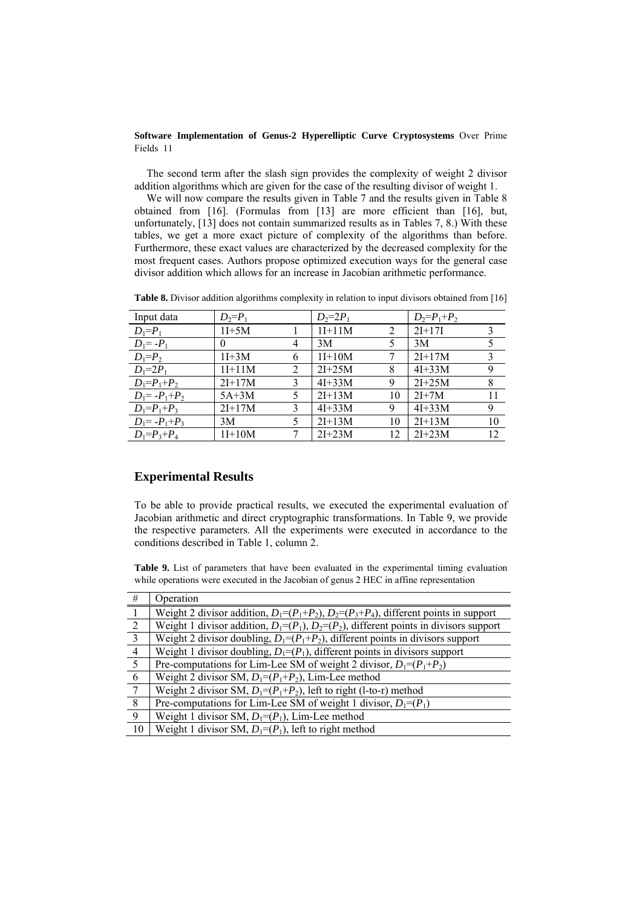The second term after the slash sign provides the complexity of weight 2 divisor addition algorithms which are given for the case of the resulting divisor of weight 1.

We will now compare the results given in Table 7 and the results given in Table 8 obtained from [16]. (Formulas from [13] are more efficient than [16], but, unfortunately, [13] does not contain summarized results as in Tables 7, 8.) With these tables, we get a more exact picture of complexity of the algorithms than before. Furthermore, these exact values are characterized by the decreased complexity for the most frequent cases. Authors propose optimized execution ways for the general case divisor addition which allows for an increase in Jacobian arithmetic performance.

| Input data         | $D_2 = P_1$ |   | $D_2=2P_1$ |    | $D_2 = P_1 + P_2$ |    |
|--------------------|-------------|---|------------|----|-------------------|----|
| $D_1 = P_1$        | $1I+5M$     |   | $1I+11M$   | 2  | $2I+17I$          | 3  |
| $D_1 = -P_1$       | $\theta$    | 4 | 3M         | 5  | 3M                |    |
| $D_1 = P_2$        | $1I+3M$     | 6 | $1I+10M$   |    | $2I+17M$          | 3  |
| $D_1=2P_1$         | $1I+11M$    | 2 | $2I + 25M$ | 8  | $4I + 33M$        | 9  |
| $D_1 = P_1 + P_2$  | $2I+17M$    | 3 | $4I + 33M$ | 9  | $2I + 25M$        | 8  |
| $D_1 = -P_1 + P_2$ | $5A+3M$     | 5 | $2I+13M$   | 10 | $2I+7M$           | 11 |
| $D_1 = P_1 + P_3$  | $2I+17M$    | 3 | $4I+33M$   | 9  | $4I + 33M$        | 9  |
| $D_1 = -P_1 + P_3$ | 3M          | 5 | $2I+13M$   | 10 | $2I+13M$          | 10 |
| $D_1 = P_3 + P_4$  | $1I+10M$    |   | $2I + 23M$ | 12 | $2I + 23M$        | 12 |

**Table 8.** Divisor addition algorithms complexity in relation to input divisors obtained from [16]

## **Experimental Results**

To be able to provide practical results, we executed the experimental evaluation of Jacobian arithmetic and direct cryptographic transformations. In Table 9, we provide the respective parameters. All the experiments were executed in accordance to the conditions described in Table 1, column 2.

**Table 9.** List of parameters that have been evaluated in the experimental timing evaluation while operations were executed in the Jacobian of genus 2 HEC in affine representation

| #               | Operation                                                                                |
|-----------------|------------------------------------------------------------------------------------------|
|                 | Weight 2 divisor addition, $D_1=(P_1+P_2), D_2=(P_3+P_4)$ , different points in support  |
| 2               | Weight 1 divisor addition, $D_1=(P_1), D_2=(P_2)$ , different points in divisors support |
| $\mathcal{E}$   | Weight 2 divisor doubling, $D_1=(P_1+P_2)$ , different points in divisors support        |
| $\overline{4}$  | Weight 1 divisor doubling, $D_1 = (P_1)$ , different points in divisors support          |
| 5               | Pre-computations for Lim-Lee SM of weight 2 divisor, $D_1=(P_1+P_2)$                     |
| 6               | Weight 2 divisor SM, $D_1=(P_1+P_2)$ , Lim-Lee method                                    |
| $7\phantom{.0}$ | Weight 2 divisor SM, $D_1=(P_1+P_2)$ , left to right (1-to-r) method                     |
| 8               | Pre-computations for Lim-Lee SM of weight 1 divisor, $D_1=(P_1)$                         |
| 9               | Weight 1 divisor SM, $D_1 = (P_1)$ , Lim-Lee method                                      |
| 10              | Weight 1 divisor SM, $D_1=(P_1)$ , left to right method                                  |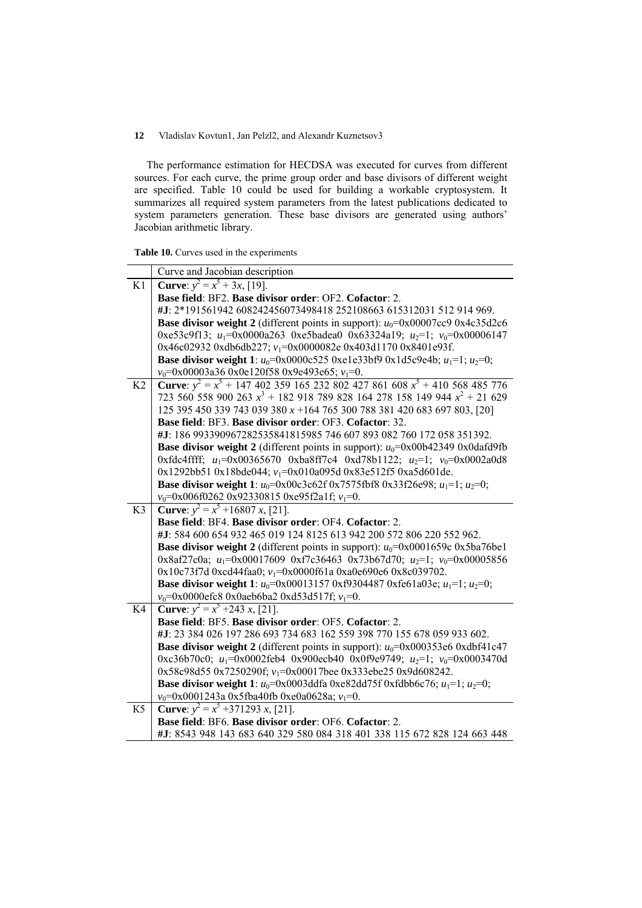The performance estimation for HECDSA was executed for curves from different sources. For each curve, the prime group order and base divisors of different weight are specified. Table 10 could be used for building a workable cryptosystem. It summarizes all required system parameters from the latest publications dedicated to system parameters generation. These base divisors are generated using authors' Jacobian arithmetic library.

|  |  |  |  |  | <b>Table 10.</b> Curves used in the experiments |
|--|--|--|--|--|-------------------------------------------------|
|--|--|--|--|--|-------------------------------------------------|

|                | Curve and Jacobian description                                                                      |
|----------------|-----------------------------------------------------------------------------------------------------|
| K1             | <b>Curve</b> : $y^2 = x^5 + 3x$ , [19].                                                             |
|                | Base field: BF2. Base divisor order: OF2. Cofactor: 2.                                              |
|                | #J: 2*191561942 608242456073498418 252108663 615312031 512 914 969.                                 |
|                | <b>Base divisor weight 2</b> (different points in support): $u_0$ =0x00007cc9 0x4c35d2c6            |
|                | 0xe53c9f13; $u_1$ =0x0000a263 0xe5badea0 0x63324a19; $u_2$ =1; $v_0$ =0x00006147                    |
|                | 0x46c02932 0xdb6db227; v <sub>1</sub> =0x0000082e 0x403d1170 0x8401e93f.                            |
|                | <b>Base divisor weight 1</b> : $u_0$ =0x0000c525 0xe1e33bf9 0x1d5c9e4b; $u_1$ =1; $u_2$ =0;         |
|                | $v_0$ =0x00003a36 0x0e120f58 0x9e493e65; $v_1$ =0.                                                  |
| K2             | <b>Curve</b> : $y^2 = x^5 + 147402359165232802427861608 x^5 + 410568485776$                         |
|                | 723 560 558 900 263 $x^3$ + 182 918 789 828 164 278 158 149 944 $x^2$ + 21 629                      |
|                | 125 395 450 339 743 039 380 $x + 164$ 765 300 788 381 420 683 697 803, [20]                         |
|                | Base field: BF3. Base divisor order: OF3. Cofactor: 32.                                             |
|                | #J: 186 993390967282535841815985 746 607 893 082 760 172 058 351392.                                |
|                | <b>Base divisor weight 2</b> (different points in support): $u_0$ =0x00b42349 0x0dafd9fb            |
|                | 0xfdc4ffff; $u_1$ =0x00365670 0xba8ff7c4 0xd78b1122; $u_2$ =1; $v_0$ =0x0002a0d8                    |
|                | 0x1292bb51 0x18bde044; v <sub>1</sub> =0x010a095d 0x83e512f5 0xa5d601de.                            |
|                | <b>Base divisor weight 1</b> : $u_0$ =0x00c3c62f 0x7575fbf8 0x33f26e98; $u_1$ =1; $u_2$ =0;         |
|                | $v_0$ =0x006f0262 0x92330815 0xe95f2a1f; $v_1$ =0.                                                  |
|                |                                                                                                     |
| K <sub>3</sub> | <b>Curve</b> : $y^2 = x^5 + 16807 x$ , [21].                                                        |
|                | Base field: BF4. Base divisor order: OF4. Cofactor: 2.                                              |
|                | #J: 584 600 654 932 465 019 124 8125 613 942 200 572 806 220 552 962.                               |
|                | <b>Base divisor weight 2</b> (different points in support): $u_0$ =0x0001659c 0x5ba76be1            |
|                | 0x8af27c0a; $u_1$ =0x00017609 0xf7c36463 0x73b67d70; $u_2$ =1; $v_0$ =0x00005856                    |
|                | 0x10c73f7d 0xcd44faa0; $v_1$ =0x0000f61a 0xa0e690e6 0x8c039702.                                     |
|                | <b>Base divisor weight 1</b> : $u_0$ =0x00013157 0xf9304487 0xfe61a03e; $u_1$ =1; $u_2$ =0;         |
|                | $v_0$ =0x0000efc8 0x0aeb6ba2 0xd53d517f; $v_1$ =0.                                                  |
| K4             | <b>Curve</b> : $y^2 = x^5 + 243 x$ , [21].                                                          |
|                | Base field: BF5. Base divisor order: OF5. Cofactor: 2.                                              |
|                | #J: 23 384 026 197 286 693 734 683 162 559 398 770 155 678 059 933 602.                             |
|                | <b>Base divisor weight 2</b> (different points in support): $u_0$ =0x000353e6 0xdbf41c47            |
|                | 0xc36b70c0; $u_1$ =0x0002feb4 0x900ecb40 0x0f9e9749; $u_2$ =1; $v_0$ =0x0003470d                    |
|                | 0x58c98d55 0x7250290f; $v_1$ =0x00017bee 0x333ebe25 0x9d608242.                                     |
|                | <b>Base divisor weight 1</b> : $u_0$ =0x0003ddfa 0xe82dd75f 0xfdbb6c76; $u_1$ =1; $u_2$ =0;         |
| K5             | $v_0$ =0x0001243a 0x5fba40fb 0xe0a0628a; $v_1$ =0.<br><b>Curve</b> : $y^2 = x^5 + 371293 x$ , [21]. |
|                | Base field: BF6. Base divisor order: OF6. Cofactor: 2.                                              |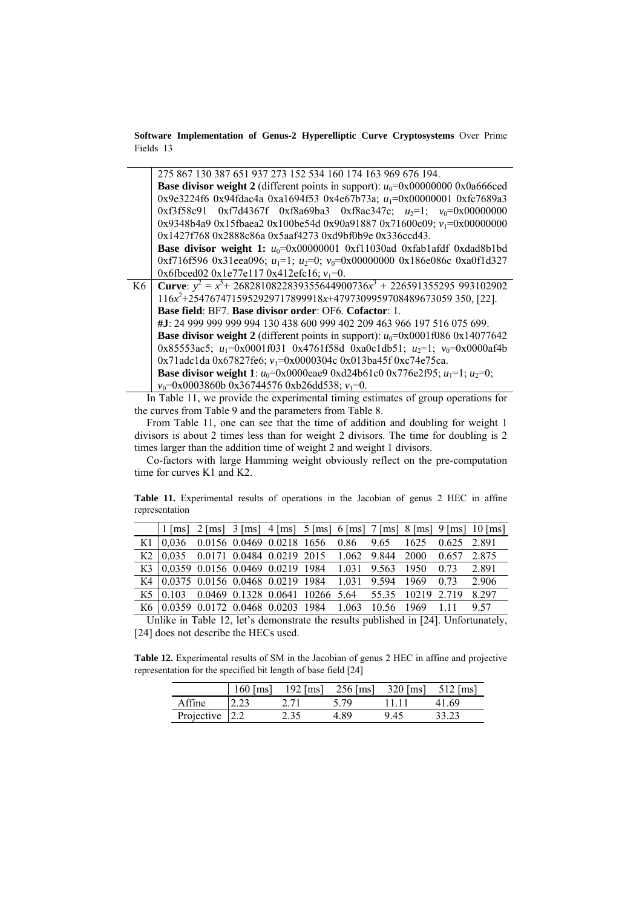|    | 275 867 130 387 651 937 273 152 534 160 174 163 969 676 194.                                |
|----|---------------------------------------------------------------------------------------------|
|    | <b>Base divisor weight 2</b> (different points in support): $u_0$ =0x00000000 0x0a666ced    |
|    | 0x9e3224f6 0x94fdac4a 0xa1694f53 0x4e67b73a; u <sub>1</sub> =0x00000001 0xfc7689a3          |
|    | $0xf3f58c91$ $0xf7d4367f$ $0xf8a69ba3$ $0xf8ac347e$ ; $u_2=1$ ; $v_0=0x00000000$            |
|    | 0x9348b4a9 0x15fbaea2 0x100be54d 0x90a91887 0x71600c09; $v_1$ =0x00000000                   |
|    | 0x1427f768 0x2888c86a 0x5aaf4273 0xd9bf0b9e 0x336ccd43.                                     |
|    | Base divisor weight 1: $u_0$ =0x00000001 0xf11030ad 0xfab1afdf 0xdad8b1bd                   |
|    | 0xf716f596 0x31eea096; $u_1=1$ ; $u_2=0$ ; $v_0=0$ x00000000 0x186e086c 0xa0f1d327          |
|    | 0x6fbced02 0x1e77e117 0x412efc16; $v_1=0$ .                                                 |
| K6 | <b>Curve</b> : $y^2 = x^5 + 2682810822839355644900736x^3 + 226591355295993102902$           |
|    | $116x^{2}+2547674715952929717899918x+4797309959708489673059350, [22]$                       |
|    |                                                                                             |
|    | <b>Base field: BF7. Base divisor order: OF6. Cofactor: 1.</b>                               |
|    | #J: 24 999 999 999 994 130 438 600 999 402 209 463 966 197 516 075 699.                     |
|    | <b>Base divisor weight 2</b> (different points in support): $u_0$ =0x0001f086 0x14077642    |
|    | 0x85553ac5; $u_1$ =0x0001f031 0x4761f58d 0xa0c1db51; $u_2$ =1; $v_0$ =0x0000af4b            |
|    | 0x71adc1da 0x67827fe6; $v_1$ =0x0000304c 0x013ba45f 0xc74e75ca.                             |
|    | <b>Base divisor weight 1</b> : $u_0$ =0x0000eae9 0xd24b61c0 0x776e2f95; $u_1$ =1; $u_2$ =0; |

In Table 11, we provide the experimental timing estimates of group operations for the curves from Table 9 and the parameters from Table 8.

From Table 11, one can see that the time of addition and doubling for weight 1 divisors is about 2 times less than for weight 2 divisors. The time for doubling is 2 times larger than the addition time of weight 2 and weight 1 divisors.

Co-factors with large Hamming weight obviously reflect on the pre-computation time for curves K1 and K2.

**Table 11.** Experimental results of operations in the Jacobian of genus 2 HEC in affine representation

|  |                                                                  |  |  |  | $1 \text{ [ms]}$ 2 $\text{[ms]}$ 3 $\text{[ms]}$ 4 $\text{[ms]}$ 5 $\text{[ms]}$ 6 $\text{[ms]}$ 7 $\text{[ms]}$ 8 $\text{[ms]}$ 9 $\text{[ms]}$ 10 $\text{[ms]}$ |
|--|------------------------------------------------------------------|--|--|--|-------------------------------------------------------------------------------------------------------------------------------------------------------------------|
|  | K1 0,036 0.0156 0.0469 0.0218 1656 0.86 9.65 1625 0.625 2.891    |  |  |  |                                                                                                                                                                   |
|  | K2 0.035 0.0171 0.0484 0.0219 2015 1.062 9.844 2000 0.657 2.875  |  |  |  |                                                                                                                                                                   |
|  | K3 0,0359 0.0156 0.0469 0.0219 1984 1.031 9.563 1950 0.73 2.891  |  |  |  |                                                                                                                                                                   |
|  | K4 0.0375 0.0156 0.0468 0.0219 1984 1.031 9.594 1969 0.73 2.906  |  |  |  |                                                                                                                                                                   |
|  | K5 0.103 0.0469 0.1328 0.0641 10266 5.64 55.35 10219 2.719 8.297 |  |  |  |                                                                                                                                                                   |
|  | K6 0.0359 0.0172 0.0468 0.0203 1984 1.063 10.56 1969 1.11 9.57   |  |  |  |                                                                                                                                                                   |

Unlike in Table 12, let's demonstrate the results published in [24]. Unfortunately, [24] does not describe the HECs used.

**Table 12.** Experimental results of SM in the Jacobian of genus 2 HEC in affine and projective representation for the specified bit length of base field [24]

|            | 160<br>$\lfloor ms \rfloor$ | 192 $\lceil ms \rceil$ | $256$ [ms] | $320$ [ms] |       |
|------------|-----------------------------|------------------------|------------|------------|-------|
| Affine     |                             |                        | 5 79       |            | -69   |
| Projective |                             | 2.35                   | 4 89       | 9.45       | 33.23 |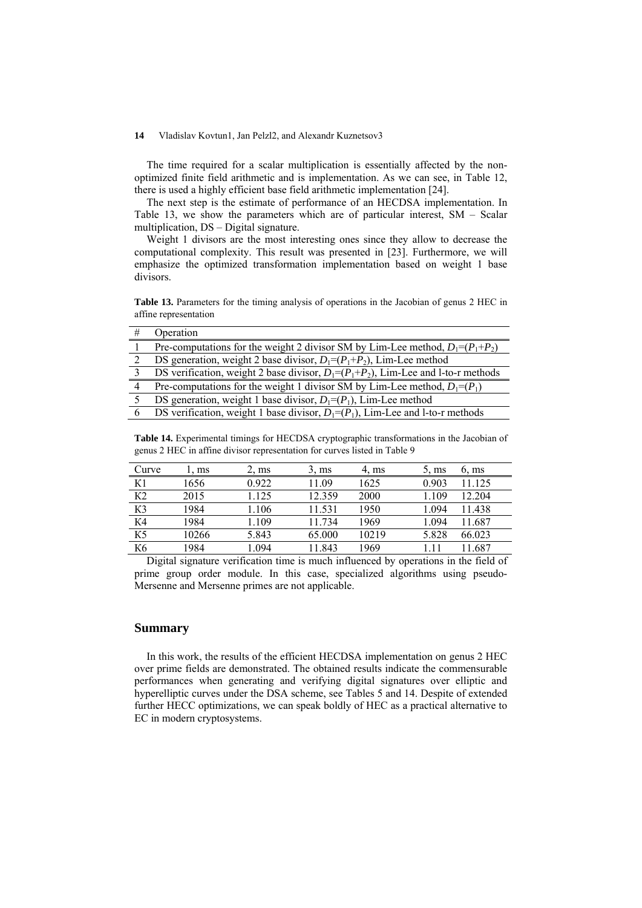The time required for a scalar multiplication is essentially affected by the nonoptimized finite field arithmetic and is implementation. As we can see, in Table 12, there is used a highly efficient base field arithmetic implementation [24].

The next step is the estimate of performance of an HECDSA implementation. In Table 13, we show the parameters which are of particular interest, SM – Scalar multiplication, DS – Digital signature.

Weight 1 divisors are the most interesting ones since they allow to decrease the computational complexity. This result was presented in [23]. Furthermore, we will emphasize the optimized transformation implementation based on weight 1 base divisors.

**Table 13.** Parameters for the timing analysis of operations in the Jacobian of genus 2 HEC in affine representation

| Operation                                                                                |
|------------------------------------------------------------------------------------------|
| Pre-computations for the weight 2 divisor SM by Lim-Lee method, $D_1=(P_1+P_2)$          |
| DS generation, weight 2 base divisor, $D_1=(P_1+P_2)$ , Lim-Lee method                   |
| DS verification, weight 2 base divisor, $D_1 = (P_1 + P_2)$ , Lim-Lee and l-to-r methods |
| Pre-computations for the weight 1 divisor SM by Lim-Lee method, $D_1 = (P_1)$            |
| DS generation, weight 1 base divisor, $D_1=(P_1)$ , Lim-Lee method                       |
| DS verification, weight 1 base divisor, $D_1=(P_1)$ , Lim-Lee and 1-to-r methods         |

**Table 14.** Experimental timings for HECDSA cryptographic transformations in the Jacobian of genus 2 HEC in affine divisor representation for curves listed in Table 9

| Curve          | $. \, \text{ms}$ | $2, \text{ms}$ | $3. \text{ms}$ | $4, \text{ms}$ | $5. \text{ms}$ | $6. \text{ms}$ |
|----------------|------------------|----------------|----------------|----------------|----------------|----------------|
| K1             | 1656             | 0.922          | 11 09          | 1625           | 0.903          | 11 125         |
| K <sub>2</sub> | 2015             | 1.125          | 12.359         | 2000           | 1.109          | 12.204         |
| K3             | 1984             | 1.106          | 11.531         | 1950           | 1.094          | 11.438         |
| K4             | 1984             | 1.109          | 11.734         | 1969           | 1.094          | 11.687         |
| K <sub>5</sub> | 10266            | 5.843          | 65.000         | 10219          | 5.828          | 66.023         |
| K <sub>6</sub> | 1984             | 1.094          | 11.843         | 1969           | 11             | .687           |

Digital signature verification time is much influenced by operations in the field of prime group order module. In this case, specialized algorithms using pseudo-Mersenne and Mersenne primes are not applicable.

#### **Summary**

In this work, the results of the efficient HECDSA implementation on genus 2 HEC over prime fields are demonstrated. The obtained results indicate the commensurable performances when generating and verifying digital signatures over elliptic and hyperelliptic curves under the DSA scheme, see Tables 5 and 14. Despite of extended further HECC optimizations, we can speak boldly of HEC as a practical alternative to EC in modern cryptosystems.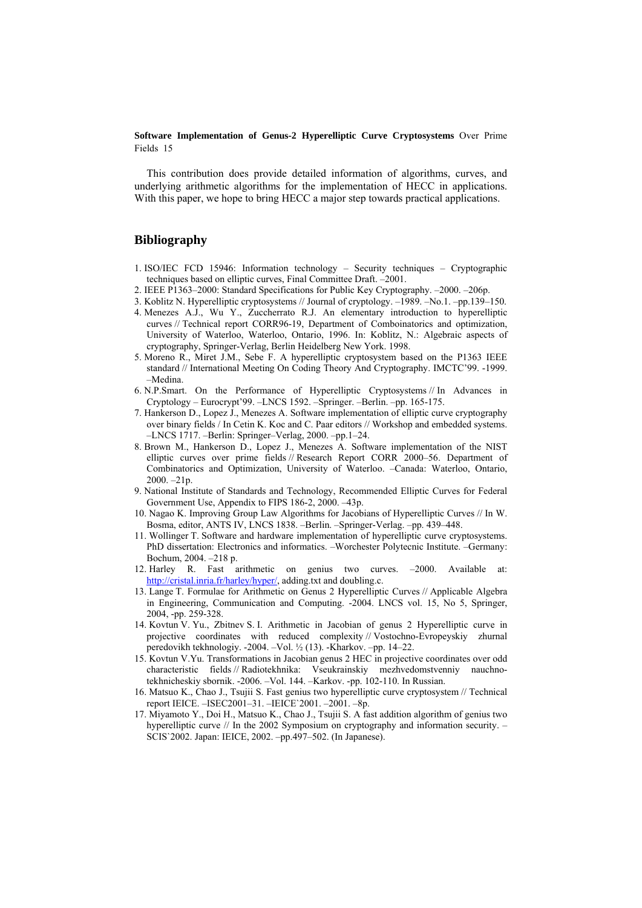This contribution does provide detailed information of algorithms, curves, and underlying arithmetic algorithms for the implementation of HECC in applications. With this paper, we hope to bring HECC a major step towards practical applications.

### **Bibliography**

- 1. ISO/IEC FCD 15946: Information technology Security techniques Cryptographic techniques based on elliptic curves, Final Committee Draft. –2001.
- 2. IEEE P1363–2000: Standard Specifications for Public Key Cryptography. –2000. –206p.
- 3. Koblitz N. Hyperelliptic cryptosystems // Journal of cryptology. –1989. –No.1. –pp.139–150.
- 4. Menezes A.J., Wu Y., Zuccherrato R.J. An elementary introduction to hyperelliptic curves // Technical report CORR96-19, Department of Comboinatorics and optimization, University of Waterloo, Waterloo, Ontario, 1996. In: Koblitz, N.: Algebraic aspects of cryptography, Springer-Verlag, Berlin Heidelberg New York. 1998.
- 5. Moreno R., Miret J.M., Sebe F. A hyperelliptic cryptosystem based on the P1363 IEEE standard // International Meeting On Coding Theory And Cryptography. IMCTC'99. -1999. –Medina.
- 6. N.P.Smart. On the Performance of Hyperelliptic Cryptosystems // In Advances in Cryptology – Eurocrypt'99. –LNCS 1592. –Springer. –Berlin. –pp. 165-175.
- 7. Hankerson D., Lopez J., Menezes A. Software implementation of elliptic curve cryptography over binary fields / In Cetin K. Koc and C. Paar editors // Workshop and embedded systems. –LNCS 1717. –Berlin: Springer–Verlag, 2000. –pp.1–24.
- 8. Brown M., Hankerson D., Lopez J., Menezes A. Software implementation of the NIST elliptic curves over prime fields // Research Report CORR 2000–56. Department of Combinatorics and Optimization, University of Waterloo. –Canada: Waterloo, Ontario, 2000. –21p.
- 9. National Institute of Standards and Technology, Recommended Elliptic Curves for Federal Government Use, Appendix to FIPS 186-2, 2000. –43p.
- 10. Nagao K. Improving Group Law Algorithms for Jacobians of Hyperelliptic Curves // In W. Bosma, editor, ANTS IV, LNCS 1838. –Berlin. –Springer-Verlag. –pp. 439–448.
- 11. Wollinger T. Software and hardware implementation of hyperelliptic curve cryptosystems. PhD dissertation: Electronics and informatics. –Worchester Polytecnic Institute. –Germany: Bochum, 2004. –218 p.
- 12. Harley R. Fast arithmetic on genius two curves. –2000. Available at: <http://cristal.inria.fr/harley/hyper/>, adding.txt and doubling.c.
- 13. Lange T. Formulae for Arithmetic on Genus 2 Hyperelliptic Curves // Applicable Algebra in Engineering, Communication and Computing. -2004. LNCS vol. 15, No 5, Springer, 2004, -pp. 259-328.
- 14. Kovtun V. Yu., Zbitnev S. I. Arithmetic in Jacobian of genus 2 Hyperelliptic curve in projective coordinates with reduced complexity // Vostochno-Evropeyskiy zhurnal peredovikh tekhnologiy. -2004. –Vol. ½ (13). -Kharkov. –pp. 14–22.
- 15. Kovtun V.Yu. Transformations in Jacobian genus 2 HEC in projective coordinates over odd characteristic fields // Radiotekhnika: Vseukrainskiy mezhvedomstvenniy nauchnotekhnicheskiy sbornik. -2006. –Vol. 144. –Karkov. -pp. 102-110. In Russian.
- 16. Matsuo K., Chao J., Tsujii S. Fast genius two hyperelliptic curve cryptosystem // Technical report IEICE. –ISEC2001–31. –IEICE`2001. –2001. –8p.
- 17. Miyamoto Y., Doi H., Matsuo K., Chao J., Tsujii S. A fast addition algorithm of genius two hyperelliptic curve // In the 2002 Symposium on cryptography and information security. -SCIS`2002. Japan: IEICE, 2002. –pp.497–502. (In Japanese).